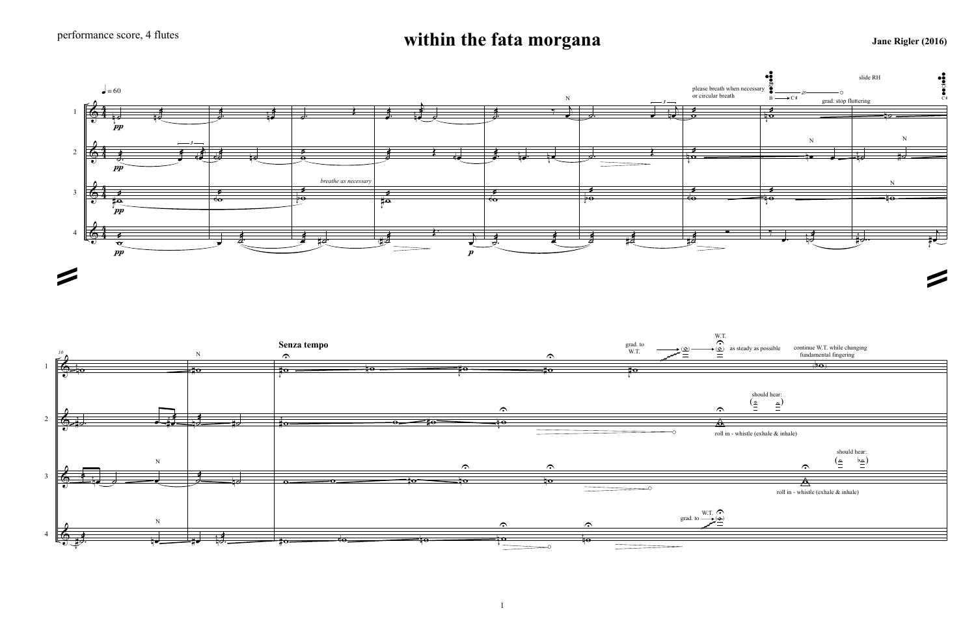## **within the fata morgana** Jane Rigler (2016)







1